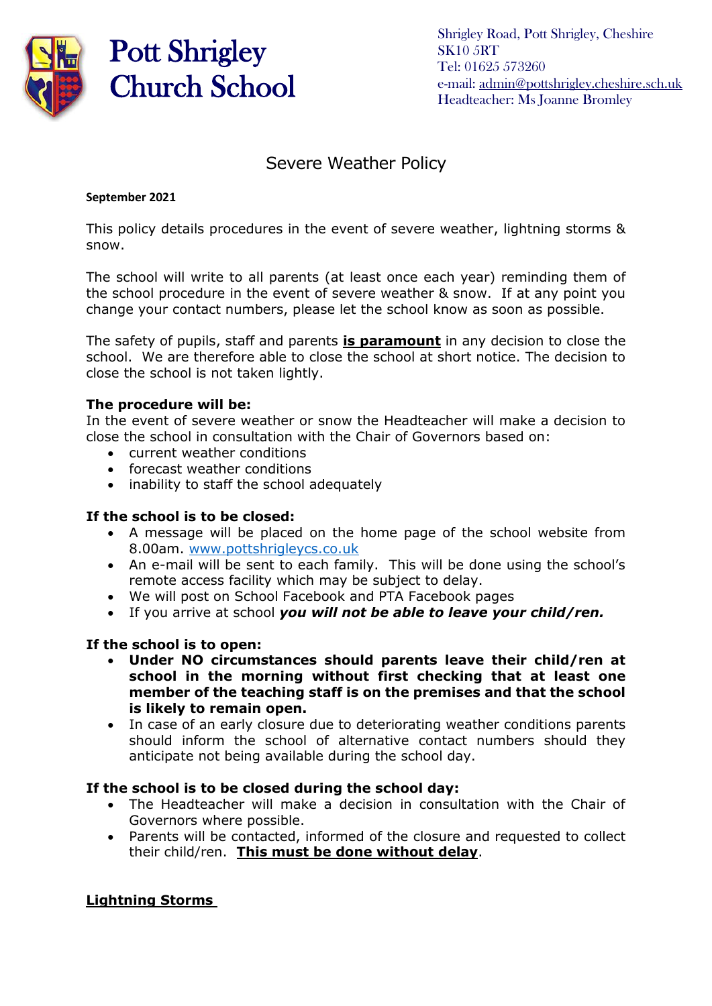

# Pott Shrigley Church School

Shrigley Road, Pott Shrigley, Cheshire SK10 5RT Tel: 01625 573260 e-mail: [admin@pottshrigley.cheshire.sch.uk](mailto:admin@pottshrigley.cheshire.sch.uk) Headteacher: Ms Joanne Bromley

# Severe Weather Policy

#### **September 2021**

This policy details procedures in the event of severe weather, lightning storms & snow.

The school will write to all parents (at least once each year) reminding them of the school procedure in the event of severe weather & snow. If at any point you change your contact numbers, please let the school know as soon as possible.

The safety of pupils, staff and parents **is paramount** in any decision to close the school. We are therefore able to close the school at short notice. The decision to close the school is not taken lightly.

#### **The procedure will be:**

In the event of severe weather or snow the Headteacher will make a decision to close the school in consultation with the Chair of Governors based on:

- current weather conditions
- forecast weather conditions
- inability to staff the school adequately

#### **If the school is to be closed:**

- A message will be placed on the home page of the school website from 8.00am. [www.pottshrigleycs.co.uk](http://www.pottshrigleycs.co.uk/)
- An e-mail will be sent to each family. This will be done using the school's remote access facility which may be subject to delay.
- We will post on School Facebook and PTA Facebook pages
- If you arrive at school *you will not be able to leave your child/ren.*

# **If the school is to open:**

- **Under NO circumstances should parents leave their child/ren at school in the morning without first checking that at least one member of the teaching staff is on the premises and that the school is likely to remain open.**
- In case of an early closure due to deteriorating weather conditions parents should inform the school of alternative contact numbers should they anticipate not being available during the school day.

#### **If the school is to be closed during the school day:**

- The Headteacher will make a decision in consultation with the Chair of Governors where possible.
- Parents will be contacted, informed of the closure and requested to collect their child/ren. **This must be done without delay**.

# **Lightning Storms**